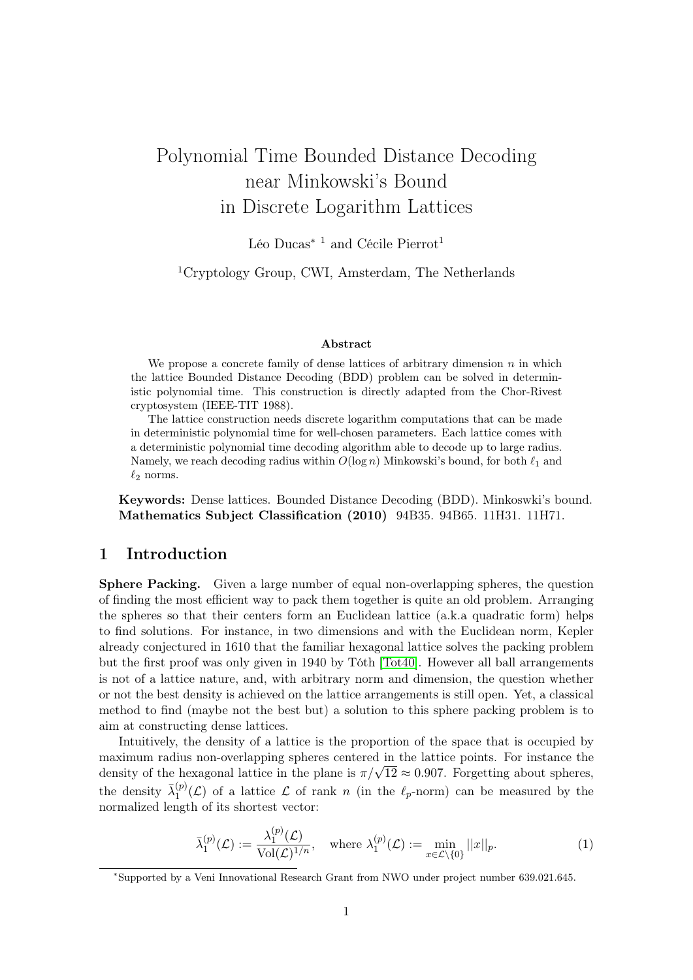# Polynomial Time Bounded Distance Decoding near Minkowski's Bound in Discrete Logarithm Lattices

Léo  $\mathrm{Ducas}^{*\, \, 1}$  and Cécile  $\mathrm{Pierrot}^1$ 

<sup>1</sup>Cryptology Group, CWI, Amsterdam, The Netherlands

#### Abstract

We propose a concrete family of dense lattices of arbitrary dimension  $n$  in which the lattice Bounded Distance Decoding (BDD) problem can be solved in deterministic polynomial time. This construction is directly adapted from the Chor-Rivest cryptosystem (IEEE-TIT 1988).

The lattice construction needs discrete logarithm computations that can be made in deterministic polynomial time for well-chosen parameters. Each lattice comes with a deterministic polynomial time decoding algorithm able to decode up to large radius. Namely, we reach decoding radius within  $O(\log n)$  Minkowski's bound, for both  $\ell_1$  and  $\ell_2$  norms.

Keywords: Dense lattices. Bounded Distance Decoding (BDD). Minkoswki's bound. Mathematics Subject Classification (2010) 94B35. 94B65. 11H31. 11H71.

# 1 Introduction

Sphere Packing. Given a large number of equal non-overlapping spheres, the question of finding the most efficient way to pack them together is quite an old problem. Arranging the spheres so that their centers form an Euclidean lattice (a.k.a quadratic form) helps to find solutions. For instance, in two dimensions and with the Euclidean norm, Kepler already conjectured in 1610 that the familiar hexagonal lattice solves the packing problem but the first proof was only given in 1940 by Tóth [\[Tot40\]](#page-10-0). However all ball arrangements is not of a lattice nature, and, with arbitrary norm and dimension, the question whether or not the best density is achieved on the lattice arrangements is still open. Yet, a classical method to find (maybe not the best but) a solution to this sphere packing problem is to aim at constructing dense lattices.

Intuitively, the density of a lattice is the proportion of the space that is occupied by maximum radius non-overlapping spheres centered in the lattice points. For instance the maximum radius non-overlapping spheres centered in the lattice points. For instance the density of the hexagonal lattice in the plane is  $\pi/\sqrt{12} \approx 0.907$ . Forgetting about spheres, the density  $\bar{\lambda}_1^{(p)}$  $1^{(p)}(\mathcal{L})$  of a lattice  $\mathcal L$  of rank n (in the  $\ell_p$ -norm) can be measured by the normalized length of its shortest vector:

$$
\bar{\lambda}_1^{(p)}(\mathcal{L}) := \frac{\lambda_1^{(p)}(\mathcal{L})}{\text{Vol}(\mathcal{L})^{1/n}}, \quad \text{where } \lambda_1^{(p)}(\mathcal{L}) := \min_{x \in \mathcal{L} \setminus \{0\}} ||x||_p. \tag{1}
$$

<sup>∗</sup>Supported by a Veni Innovational Research Grant from NWO under project number 639.021.645.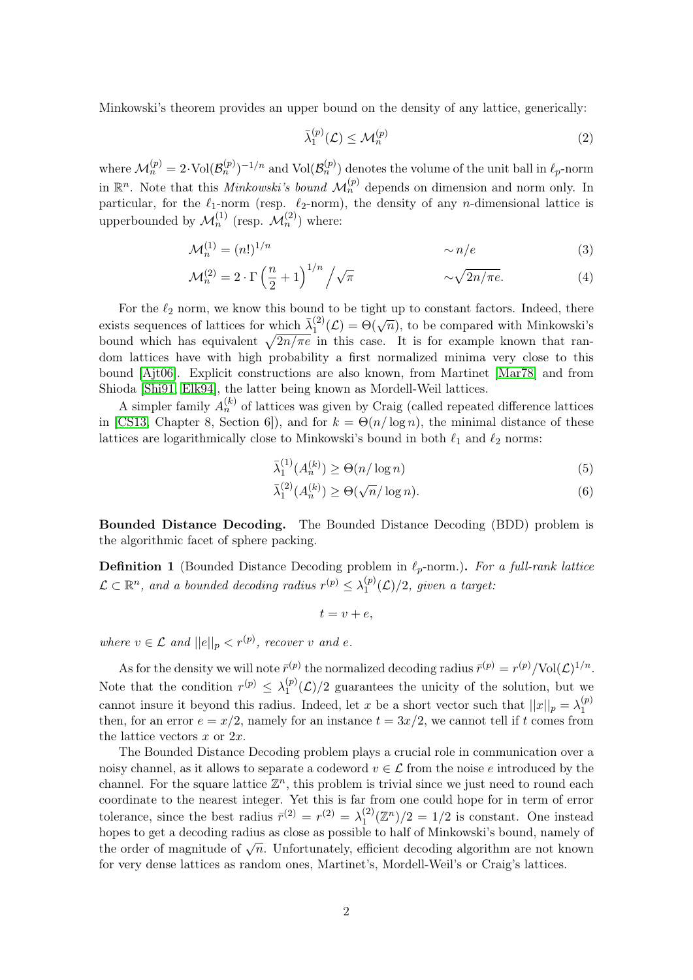Minkowski's theorem provides an upper bound on the density of any lattice, generically:

<span id="page-1-0"></span>
$$
\bar{\lambda}_1^{(p)}(\mathcal{L}) \le \mathcal{M}_n^{(p)} \tag{2}
$$

where  $\mathcal{M}_n^{(p)} = 2 \cdot \text{Vol}(\mathcal{B}_n^{(p)})^{-1/n}$  and  $\text{Vol}(\mathcal{B}_n^{(p)})$  denotes the volume of the unit ball in  $\ell_p$ -norm in  $\mathbb{R}^n$ . Note that this *Minkowski's bound*  $\mathcal{M}_n^{(p)}$  depends on dimension and norm only. In particular, for the  $\ell_1$ -norm (resp.  $\ell_2$ -norm), the density of any *n*-dimensional lattice is upperbounded by  $\mathcal{M}_n^{(1)}$  (resp.  $\mathcal{M}_n^{(2)}$ ) where:

$$
\mathcal{M}_n^{(1)} = (n!)^{1/n} \qquad \sim n/e \qquad (3)
$$

$$
\mathcal{M}_n^{(2)} = 2 \cdot \Gamma \left(\frac{n}{2} + 1\right)^{1/n} / \sqrt{\pi} \qquad \sim \sqrt{2n/\pi e}. \tag{4}
$$

For the  $\ell_2$  norm, we know this bound to be tight up to constant factors. Indeed, there exists sequences of lattices for which  $\bar{\lambda}_1^{(2)}$  $\int_{1}^{(2)} (\mathcal{L}) = \Theta(\sqrt{n})$ , to be compared with Minkowski's bound which has equivalent  $\sqrt{2n/\pi e}$  in this case. It is for example known that random lattices have with high probability a first normalized minima very close to this bound [\[Ajt06\]](#page-9-0). Explicit constructions are also known, from Martinet [\[Mar78\]](#page-10-1) and from Shioda [\[Shi91,](#page-10-2) [Elk94\]](#page-9-1), the latter being known as Mordell-Weil lattices.

A simpler family  $A_n^{(k)}$  of lattices was given by Craig (called repeated difference lattices in [\[CS13,](#page-9-2) Chapter 8, Section 6]), and for  $k = \Theta(n/\log n)$ , the minimal distance of these lattices are logarithmically close to Minkowski's bound in both  $\ell_1$  and  $\ell_2$  norms:

$$
\bar{\lambda}_1^{(1)}(A_n^{(k)}) \ge \Theta(n/\log n) \tag{5}
$$

$$
\bar{\lambda}_1^{(2)}(A_n^{(k)}) \ge \Theta(\sqrt{n}/\log n). \tag{6}
$$

Bounded Distance Decoding. The Bounded Distance Decoding (BDD) problem is the algorithmic facet of sphere packing.

**Definition 1** (Bounded Distance Decoding problem in  $\ell_p$ -norm.). For a full-rank lattice  $\mathcal{L} \subset \mathbb{R}^n$ , and a bounded decoding radius  $r^{(p)} \leq \lambda_1^{(p)}$  $1^{(p)}(\mathcal{L})/2$ , given a target:

$$
t = v + e,
$$

where  $v \in \mathcal{L}$  and  $||e||_p < r^{(p)}$ , recover v and e.

As for the density we will note  $\bar{r}^{(p)}$  the normalized decoding radius  $\bar{r}^{(p)} = r^{(p)}/\text{Vol}(\mathcal{L})^{1/n}$ . Note that the condition  $r^{(p)} \n\t\leq \lambda_1^{(p)}$  $\binom{p}{1}(\mathcal{L})/2$  guarantees the unicity of the solution, but we cannot insure it beyond this radius. Indeed, let x be a short vector such that  $||x||_p = \lambda_1^{(p)}$ 1 then, for an error  $e = x/2$ , namely for an instance  $t = 3x/2$ , we cannot tell if t comes from the lattice vectors  $x$  or  $2x$ .

The Bounded Distance Decoding problem plays a crucial role in communication over a noisy channel, as it allows to separate a codeword  $v \in \mathcal{L}$  from the noise e introduced by the channel. For the square lattice  $\mathbb{Z}^n$ , this problem is trivial since we just need to round each coordinate to the nearest integer. Yet this is far from one could hope for in term of error tolerance, since the best radius  $\bar{r}^{(2)} = r^{(2)} = \lambda_1^{(2)}$  $\binom{2}{1}(\mathbb{Z}^n)/2 = 1/2$  is constant. One instead hopes to get a decoding radius as close as possible to half of Minkowski's bound, namely of the order of magnitude of  $\sqrt{n}$ . Unfortunately, efficient decoding algorithm are not known for very dense lattices as random ones, Martinet's, Mordell-Weil's or Craig's lattices.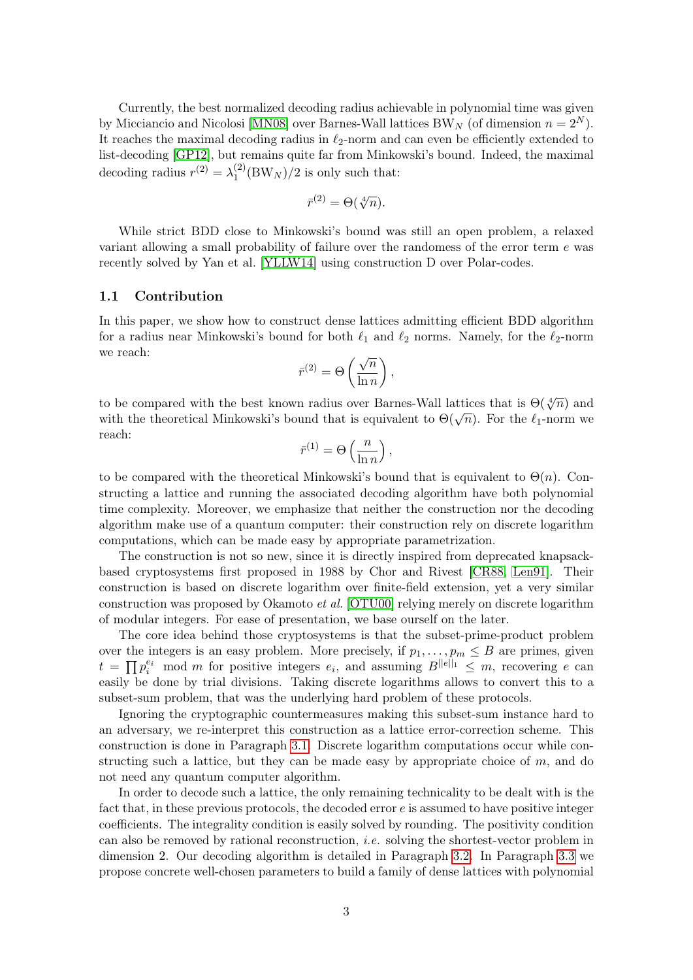Currently, the best normalized decoding radius achievable in polynomial time was given by Micciancio and Nicolosi [\[MN08\]](#page-10-3) over Barnes-Wall lattices BW<sub>N</sub> (of dimension  $n = 2^N$ ). It reaches the maximal decoding radius in  $\ell_2$ -norm and can even be efficiently extended to list-decoding [\[GP12\]](#page-10-4), but remains quite far from Minkowski's bound. Indeed, the maximal decoding radius  $r^{(2)} = \lambda_1^{(2)}$  $1^{(2)}$ (BW<sub>N</sub>)/2 is only such that:

$$
\bar{r}^{(2)} = \Theta(\sqrt[4]{n}).
$$

While strict BDD close to Minkowski's bound was still an open problem, a relaxed variant allowing a small probability of failure over the randomess of the error term  $e$  was recently solved by Yan et al. [\[YLLW14\]](#page-10-5) using construction D over Polar-codes.

### 1.1 Contribution

In this paper, we show how to construct dense lattices admitting efficient BDD algorithm for a radius near Minkowski's bound for both  $\ell_1$  and  $\ell_2$  norms. Namely, for the  $\ell_2$ -norm we reach:

$$
\bar{r}^{(2)} = \Theta\left(\frac{\sqrt{n}}{\ln n}\right),\,
$$

to be compared with the best known radius over Barnes-Wall lattices that is  $\Theta(\sqrt[4]{n})$  and with the theoretical Minkowski's bound that is equivalent to  $\Theta(\sqrt{n})$ . For the  $\ell_1$ -norm we with the theoretical Minkowski's bound that is equivalent to  $\Theta(\sqrt{n})$ . reach:

$$
\bar{r}^{(1)} = \Theta\left(\frac{n}{\ln n}\right),
$$

to be compared with the theoretical Minkowski's bound that is equivalent to  $\Theta(n)$ . Constructing a lattice and running the associated decoding algorithm have both polynomial time complexity. Moreover, we emphasize that neither the construction nor the decoding algorithm make use of a quantum computer: their construction rely on discrete logarithm computations, which can be made easy by appropriate parametrization.

The construction is not so new, since it is directly inspired from deprecated knapsackbased cryptosystems first proposed in 1988 by Chor and Rivest [\[CR88,](#page-9-3) [Len91\]](#page-10-6). Their construction is based on discrete logarithm over finite-field extension, yet a very similar construction was proposed by Okamoto et al. [\[OTU00\]](#page-10-7) relying merely on discrete logarithm of modular integers. For ease of presentation, we base ourself on the later.

The core idea behind those cryptosystems is that the subset-prime-product problem over the integers is an easy problem. More precisely, if  $p_1, \ldots, p_m \leq B$  are primes, given  $t = \prod p_i^{e_i} \mod m$  for positive integers  $e_i$ , and assuming  $B^{||e||_1} \leq m$ , recovering e can easily be done by trial divisions. Taking discrete logarithms allows to convert this to a subset-sum problem, that was the underlying hard problem of these protocols.

Ignoring the cryptographic countermeasures making this subset-sum instance hard to an adversary, we re-interpret this construction as a lattice error-correction scheme. This construction is done in Paragraph [3.1.](#page-4-0) Discrete logarithm computations occur while constructing such a lattice, but they can be made easy by appropriate choice of  $m$ , and do not need any quantum computer algorithm.

In order to decode such a lattice, the only remaining technicality to be dealt with is the fact that, in these previous protocols, the decoded error  $e$  is assumed to have positive integer coefficients. The integrality condition is easily solved by rounding. The positivity condition can also be removed by rational reconstruction, *i.e.* solving the shortest-vector problem in dimension 2. Our decoding algorithm is detailed in Paragraph [3.2.](#page-5-0) In Paragraph [3.3](#page-7-0) we propose concrete well-chosen parameters to build a family of dense lattices with polynomial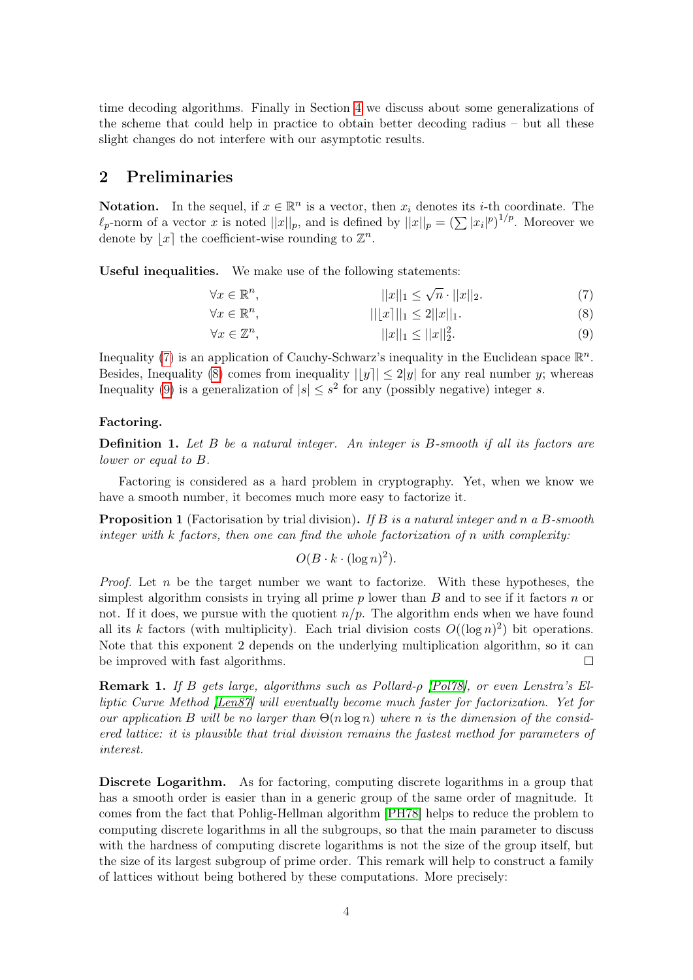time decoding algorithms. Finally in Section [4](#page-8-0) we discuss about some generalizations of the scheme that could help in practice to obtain better decoding radius – but all these slight changes do not interfere with our asymptotic results.

# 2 Preliminaries

**Notation.** In the sequel, if  $x \in \mathbb{R}^n$  is a vector, then  $x_i$  denotes its *i*-th coordinate. The  $\ell_p$ -norm of a vector x is noted  $||x||_p$ , and is defined by  $||x||_p = \left(\sum |x_i|^p\right)^{1/p}$ . Moreover we denote by  $\lfloor x \rfloor$  the coefficient-wise rounding to  $\mathbb{Z}^n$ .

Useful inequalities. We make use of the following statements:

<span id="page-3-1"></span><span id="page-3-0"></span>
$$
\forall x \in \mathbb{R}^n, \qquad ||x||_1 \le \sqrt{n} \cdot ||x||_2. \tag{7}
$$

$$
\forall x \in \mathbb{R}^n,\qquad ||[x]||_1 \le 2||x||_1. \tag{8}
$$

$$
\forall x \in \mathbb{Z}^n,\tag{9}
$$

Inequality [\(7\)](#page-3-0) is an application of Cauchy-Schwarz's inequality in the Euclidean space  $\mathbb{R}^n$ . Besides, Inequality [\(8\)](#page-3-1) comes from inequality  $||y|| \leq 2|y|$  for any real number y; whereas Inequality [\(9\)](#page-3-2) is a generalization of  $|s| \leq s^2$  for any (possibly negative) integer s.

### Factoring.

**Definition 1.** Let  $B$  be a natural integer. An integer is  $B$ -smooth if all its factors are lower or equal to B.

Factoring is considered as a hard problem in cryptography. Yet, when we know we have a smooth number, it becomes much more easy to factorize it.

<span id="page-3-3"></span>**Proposition 1** (Factorisation by trial division). If B is a natural integer and n a B-smooth integer with k factors, then one can find the whole factorization of n with complexity:

<span id="page-3-2"></span>
$$
O(B \cdot k \cdot (\log n)^2).
$$

*Proof.* Let  $n$  be the target number we want to factorize. With these hypotheses, the simplest algorithm consists in trying all prime  $p$  lower than  $B$  and to see if it factors  $n$  or not. If it does, we pursue with the quotient  $n/p$ . The algorithm ends when we have found all its k factors (with multiplicity). Each trial division costs  $O((\log n)^2)$  bit operations. Note that this exponent 2 depends on the underlying multiplication algorithm, so it can be improved with fast algorithms.  $\Box$ 

Remark 1. If B gets large, algorithms such as Pollard-ρ [\[Pol78\]](#page-10-8), or even Lenstra's Elliptic Curve Method [\[Len87\]](#page-10-9) will eventually become much faster for factorization. Yet for our application B will be no larger than  $\Theta(n \log n)$  where n is the dimension of the considered lattice: it is plausible that trial division remains the fastest method for parameters of interest.

Discrete Logarithm. As for factoring, computing discrete logarithms in a group that has a smooth order is easier than in a generic group of the same order of magnitude. It comes from the fact that Pohlig-Hellman algorithm [\[PH78\]](#page-10-10) helps to reduce the problem to computing discrete logarithms in all the subgroups, so that the main parameter to discuss with the hardness of computing discrete logarithms is not the size of the group itself, but the size of its largest subgroup of prime order. This remark will help to construct a family of lattices without being bothered by these computations. More precisely: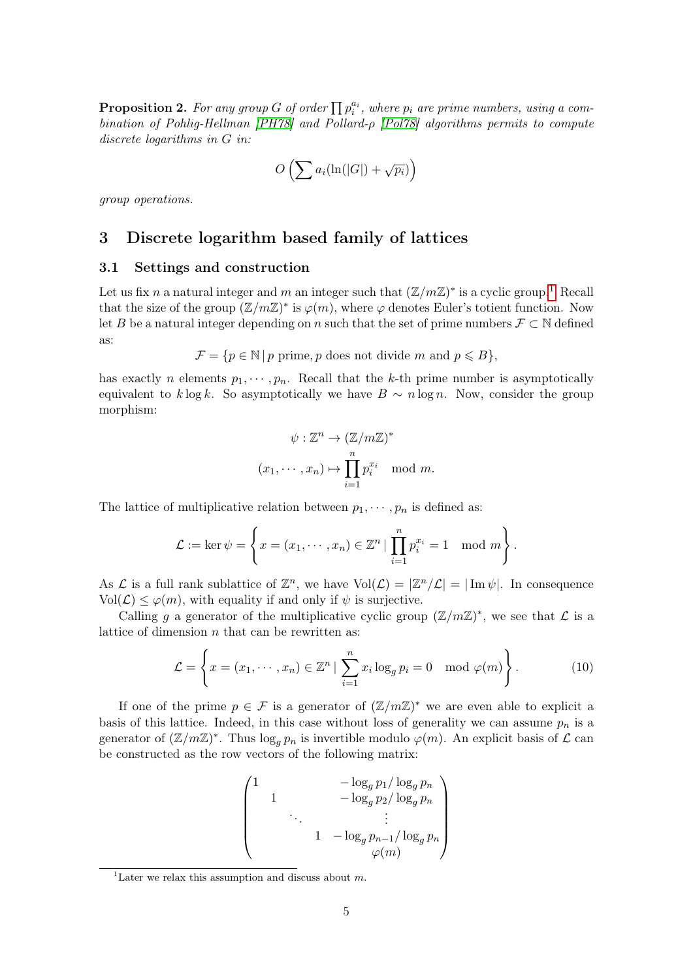<span id="page-4-3"></span>**Proposition 2.** For any group G of order  $\prod p_i^{a_i}$ , where  $p_i$  are prime numbers, using a combination of Pohlig-Hellman [\[PH78\]](#page-10-10) and Pollard-ρ [\[Pol78\]](#page-10-8) algorithms permits to compute discrete logarithms in G in:

$$
O\left(\sum a_i(\ln(|G|) + \sqrt{p_i})\right)
$$

group operations.

# 3 Discrete logarithm based family of lattices

### <span id="page-4-0"></span>3.1 Settings and construction

Let us fix n a natural integer and m an integer such that  $(\mathbb{Z}/m\mathbb{Z})^*$  is a cyclic group.<sup>[1](#page-4-1)</sup> Recall that the size of the group  $(\mathbb{Z}/m\mathbb{Z})^*$  is  $\varphi(m)$ , where  $\varphi$  denotes Euler's totient function. Now let B be a natural integer depending on n such that the set of prime numbers  $\mathcal{F} \subset \mathbb{N}$  defined as:

 $\mathcal{F} = \{p \in \mathbb{N} \mid p \text{ prime}, p \text{ does not divide } m \text{ and } p \leq B\},\$ 

has exactly *n* elements  $p_1, \dots, p_n$ . Recall that the *k*-th prime number is asymptotically equivalent to k log k. So asymptotically we have  $B \sim n \log n$ . Now, consider the group morphism:

$$
\psi : \mathbb{Z}^n \to (\mathbb{Z}/m\mathbb{Z})^*
$$

$$
(x_1, \cdots, x_n) \mapsto \prod_{i=1}^n p_i^{x_i} \mod m.
$$

The lattice of multiplicative relation between  $p_1, \dots, p_n$  is defined as:

$$
\mathcal{L} := \ker \psi = \left\{ x = (x_1, \dots, x_n) \in \mathbb{Z}^n \mid \prod_{i=1}^n p_i^{x_i} = 1 \mod m \right\}.
$$

As  $\mathcal L$  is a full rank sublattice of  $\mathbb Z^n$ , we have  $Vol(\mathcal L) = |\mathbb Z^n/\mathcal L| = |\operatorname{Im}\psi|$ . In consequence  $Vol(\mathcal{L}) \leq \varphi(m)$ , with equality if and only if  $\psi$  is surjective.

Calling g a generator of the multiplicative cyclic group  $(\mathbb{Z}/m\mathbb{Z})^*$ , we see that  $\mathcal L$  is a lattice of dimension  $n$  that can be rewritten as:

<span id="page-4-2"></span>
$$
\mathcal{L} = \left\{ x = (x_1, \dots, x_n) \in \mathbb{Z}^n \mid \sum_{i=1}^n x_i \log_g p_i = 0 \mod \varphi(m) \right\}.
$$
 (10)

If one of the prime  $p \in \mathcal{F}$  is a generator of  $(\mathbb{Z}/m\mathbb{Z})^*$  we are even able to explicit a basis of this lattice. Indeed, in this case without loss of generality we can assume  $p_n$  is a generator of  $(\mathbb{Z}/m\mathbb{Z})^*$ . Thus  $\log_g p_n$  is invertible modulo  $\varphi(m)$ . An explicit basis of  $\mathcal L$  can be constructed as the row vectors of the following matrix:

$$
\begin{pmatrix}\n1 & -\log_g p_1 / \log_g p_n \\
1 & -\log_g p_2 / \log_g p_n \\
\vdots & \vdots \\
1 & -\log_g p_{n-1} / \log_g p_n \\
\varphi(m)\n\end{pmatrix}
$$

<span id="page-4-1"></span><sup>&</sup>lt;sup>1</sup>Later we relax this assumption and discuss about  $m$ .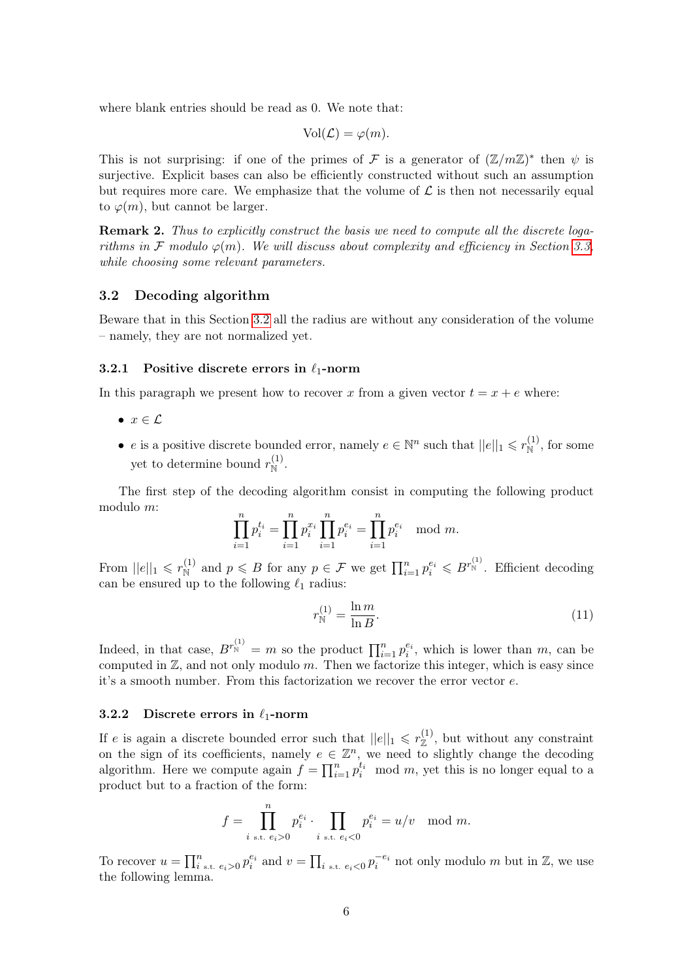where blank entries should be read as 0. We note that:

$$
Vol(\mathcal{L}) = \varphi(m).
$$

This is not surprising: if one of the primes of F is a generator of  $(\mathbb{Z}/m\mathbb{Z})^*$  then  $\psi$  is surjective. Explicit bases can also be efficiently constructed without such an assumption but requires more care. We emphasize that the volume of  $\mathcal L$  is then not necessarily equal to  $\varphi(m)$ , but cannot be larger.

Remark 2. Thus to explicitly construct the basis we need to compute all the discrete logarithms in F modulo  $\varphi(m)$ . We will discuss about complexity and efficiency in Section [3.3,](#page-7-0) while choosing some relevant parameters.

### <span id="page-5-0"></span>3.2 Decoding algorithm

Beware that in this Section [3.2](#page-5-0) all the radius are without any consideration of the volume – namely, they are not normalized yet.

#### 3.2.1 Positive discrete errors in  $\ell_1$ -norm

In this paragraph we present how to recover x from a given vector  $t = x + e$  where:

- $x \in \mathcal{L}$
- *e* is a positive discrete bounded error, namely  $e \in \mathbb{N}^n$  such that  $||e||_1 \leq r_{\mathbb{N}}^{(1)}$ , for some yet to determine bound  $r_{\mathbb{N}}^{(1)}$ .

The first step of the decoding algorithm consist in computing the following product modulo m:

$$
\prod_{i=1}^{n} p_i^{t_i} = \prod_{i=1}^{n} p_i^{x_i} \prod_{i=1}^{n} p_i^{e_i} = \prod_{i=1}^{n} p_i^{e_i} \mod m.
$$

From  $||e||_1 \leqslant r_{\mathbb{N}}^{(1)}$  and  $p \leqslant B$  for any  $p \in \mathcal{F}$  we get  $\prod_{i=1}^n p_i^{e_i} \leqslant B^{r_{\mathbb{N}}^{(1)}}$ . Efficient decoding can be ensured up to the following  $\ell_1$  radius:

$$
r_{\rm N}^{(1)} = \frac{\ln m}{\ln B}.\tag{11}
$$

Indeed, in that case,  $B^{r_N^{(1)}} = m$  so the product  $\prod_{i=1}^n p_i^{e_i}$ , which is lower than m, can be computed in  $\mathbb{Z}$ , and not only modulo m. Then we factorize this integer, which is easy since it's a smooth number. From this factorization we recover the error vector e.

#### 3.2.2 Discrete errors in  $\ell_1$ -norm

If e is again a discrete bounded error such that  $||e||_1 \leqslant r_{\mathbb{Z}}^{(1)}$ , but without any constraint on the sign of its coefficients, namely  $e \in \mathbb{Z}^n$ , we need to slightly change the decoding algorithm. Here we compute again  $f = \prod_{i=1}^n p_i^{t_i} \mod m$ , yet this is no longer equal to a product but to a fraction of the form:

$$
f = \prod_{i \text{ s.t. } e_i > 0}^n p_i^{e_i} \cdot \prod_{i \text{ s.t. } e_i < 0} p_i^{e_i} = u/v \mod m.
$$

To recover  $u = \prod_{i=1}^n e_i > 0$ ,  $p_i^{e_i}$  and  $v = \prod_{i=1}^n e_i < 0$ ,  $p_i^{-e_i}$  not only modulo m but in  $\mathbb{Z}$ , we use the following lemma.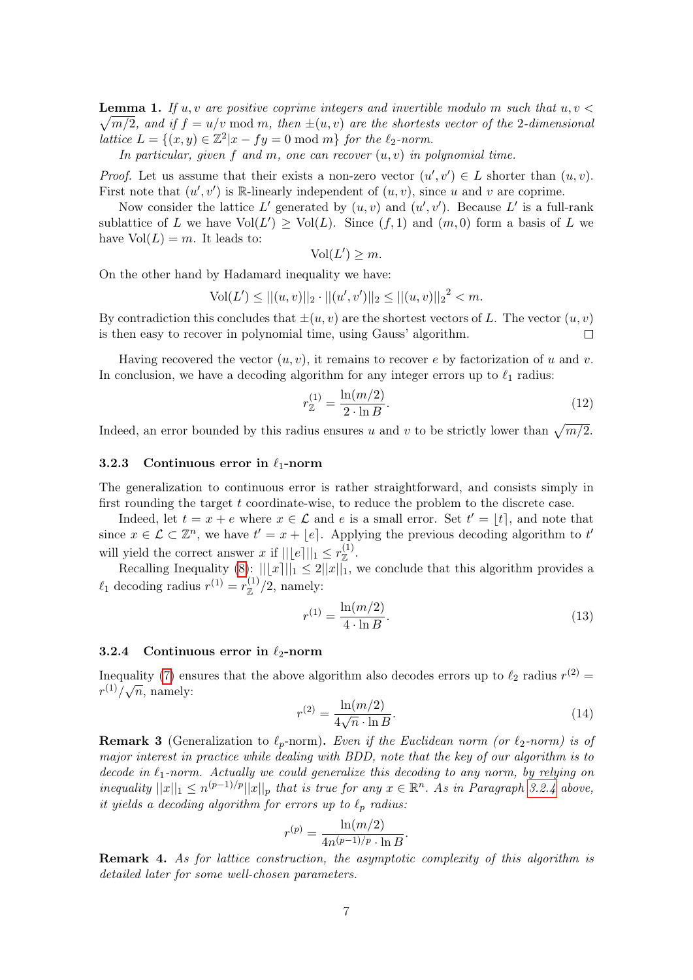<span id="page-6-3"></span>**Lemma 1.** If  $u, v$  are positive coprime integers and invertible modulo m such that  $u, v$  $\sqrt{m/2}$ , and if  $f = u/v \mod m$ , then  $\pm(u, v)$  are the shortests vector of the 2-dimensional lattice  $L = \{(x, y) \in \mathbb{Z}^2 | x - fy = 0 \text{ mod } m\}$  for the  $\ell_2$ -norm.

In particular, given f and m, one can recover  $(u, v)$  in polynomial time.

*Proof.* Let us assume that their exists a non-zero vector  $(u', v') \in L$  shorter than  $(u, v)$ . First note that  $(u', v')$  is R-linearly independent of  $(u, v)$ , since u and v are coprime.

Now consider the lattice L' generated by  $(u, v)$  and  $(u', v')$ . Because L' is a full-rank sublattice of L we have  $Vol(L') \ge Vol(L)$ . Since  $(f, 1)$  and  $(m, 0)$  form a basis of L we have  $Vol(L) = m$ . It leads to:

$$
Vol(L') \geq m.
$$

On the other hand by Hadamard inequality we have:

$$
Vol(L') \le ||(u, v)||_2 \cdot ||(u', v')||_2 \le ||(u, v)||_2^2 < m.
$$

By contradiction this concludes that  $\pm(u, v)$  are the shortest vectors of L. The vector  $(u, v)$ is then easy to recover in polynomial time, using Gauss' algorithm.  $\Box$ 

Having recovered the vector  $(u, v)$ , it remains to recover e by factorization of u and v. In conclusion, we have a decoding algorithm for any integer errors up to  $\ell_1$  radius:

$$
r_{\mathbb{Z}}^{(1)} = \frac{\ln(m/2)}{2 \cdot \ln B}.
$$
\n(12)

Indeed, an error bounded by this radius ensures u and v to be strictly lower than  $\sqrt{m/2}$ .

## 3.2.3 Continuous error in  $\ell_1$ -norm

The generalization to continuous error is rather straightforward, and consists simply in first rounding the target t coordinate-wise, to reduce the problem to the discrete case.

Indeed, let  $t = x + e$  where  $x \in \mathcal{L}$  and e is a small error. Set  $t' = |t|$ , and note that since  $x \in \mathcal{L} \subset \mathbb{Z}^n$ , we have  $t' = x + |e|$ . Applying the previous decoding algorithm to t will yield the correct answer x if  $||\lfloor e \rceil ||_1 \leq r_{\mathbb{Z}}^{(1)}$ .

Recalling Inequality [\(8\)](#page-3-1):  $\| |x||_1 \leq 2 \|x\|_1$ , we conclude that this algorithm provides a  $\ell_1$  decoding radius  $r^{(1)} = r^{(1)}_{\mathbb{Z}}/2$ , namely:

<span id="page-6-1"></span>
$$
r^{(1)} = \frac{\ln(m/2)}{4 \cdot \ln B}.
$$
\n(13)

#### <span id="page-6-0"></span>3.2.4 Continuous error in  $\ell_2$ -norm

Inequality [\(7\)](#page-3-0) ensures that the above algorithm also decodes errors up to  $\ell_2$  radius  $r^{(2)} =$  $r^{(1)}/\sqrt{n}$ , namely:

<span id="page-6-2"></span>
$$
r^{(2)} = \frac{\ln(m/2)}{4\sqrt{n} \cdot \ln B}.\tag{14}
$$

**Remark 3** (Generalization to  $\ell_p$ -norm). Even if the Euclidean norm (or  $\ell_2$ -norm) is of major interest in practice while dealing with BDD, note that the key of our algorithm is to decode in  $\ell_1$ -norm. Actually we could generalize this decoding to any norm, by relying on inequality  $||x||_1 \leq n^{(p-1)/p} ||x||_p$  that is true for any  $x \in \mathbb{R}^n$ . As in Paragraph [3.2.4](#page-6-0) above, it yields a decoding algorithm for errors up to  $\ell_p$  radius:

$$
r^{(p)} = \frac{\ln(m/2)}{4n^{(p-1)/p} \cdot \ln B}.
$$

Remark 4. As for lattice construction, the asymptotic complexity of this algorithm is detailed later for some well-chosen parameters.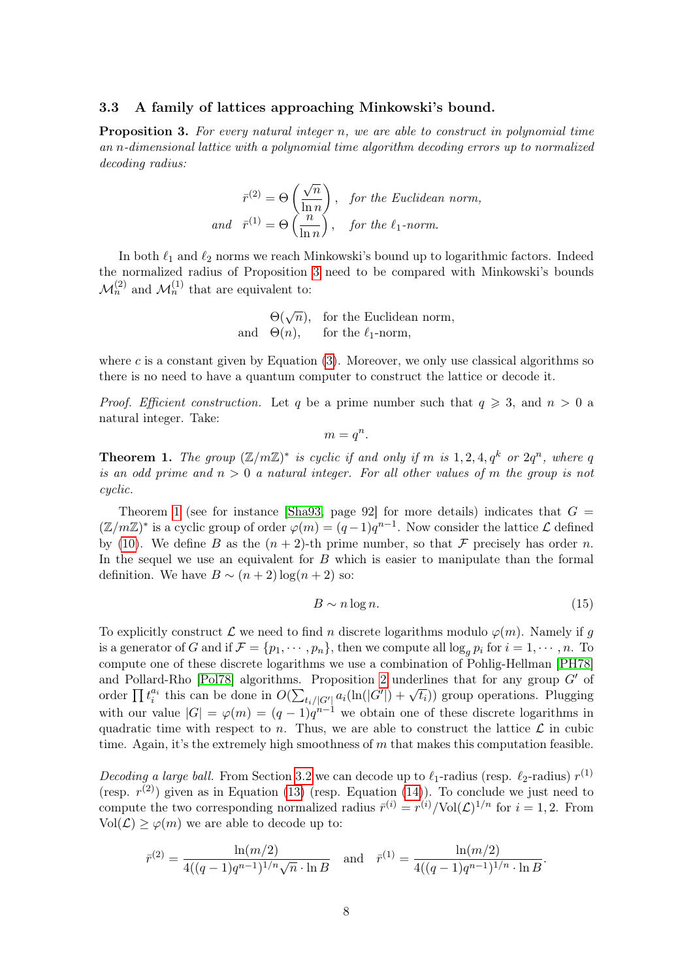### <span id="page-7-0"></span>3.3 A family of lattices approaching Minkowski's bound.

<span id="page-7-1"></span>**Proposition 3.** For every natural integer n, we are able to construct in polynomial time an n-dimensional lattice with a polynomial time algorithm decoding errors up to normalized decoding radius:

$$
\bar{r}^{(2)} = \Theta\left(\frac{\sqrt{n}}{\ln n}\right), \text{ for the Euclidean norm,}
$$
  
and 
$$
\bar{r}^{(1)} = \Theta\left(\frac{n}{\ln n}\right), \text{ for the } \ell_1\text{-norm.}
$$

In both  $\ell_1$  and  $\ell_2$  norms we reach Minkowski's bound up to logarithmic factors. Indeed the normalized radius of Proposition [3](#page-7-1) need to be compared with Minkowski's bounds  $\mathcal{M}_n^{(2)}$  and  $\mathcal{M}_n^{(1)}$  that are equivalent to:

$$
\Theta(\sqrt{n}),
$$
 for the Euclidean norm,  
and  $\Theta(n),$  for the  $\ell_1$ -norm,

where c is a constant given by Equation  $(3)$ . Moreover, we only use classical algorithms so there is no need to have a quantum computer to construct the lattice or decode it.

*Proof.* Efficient construction. Let q be a prime number such that  $q \geq 3$ , and  $n > 0$  a natural integer. Take:

$$
m=q^n.
$$

<span id="page-7-2"></span>**Theorem 1.** The group  $(\mathbb{Z}/m\mathbb{Z})^*$  is cyclic if and only if m is 1, 2, 4,  $q^k$  or  $2q^n$ , where q is an odd prime and  $n > 0$  a natural integer. For all other values of m the group is not cyclic.

Theorem [1](#page-7-2) (see for instance [\[Sha93,](#page-10-11) page 92] for more details) indicates that  $G =$  $(\mathbb{Z}/m\mathbb{Z})^*$  is a cyclic group of order  $\varphi(m) = (q-1)q^{n-1}$ . Now consider the lattice  $\mathcal L$  defined by [\(10\)](#page-4-2). We define B as the  $(n+2)$ -th prime number, so that F precisely has order n. In the sequel we use an equivalent for B which is easier to manipulate than the formal definition. We have  $B \sim (n+2) \log(n+2)$  so:

<span id="page-7-3"></span>
$$
B \sim n \log n. \tag{15}
$$

To explicitly construct  $\mathcal L$  we need to find n discrete logarithms modulo  $\varphi(m)$ . Namely if q is a generator of G and if  $\mathcal{F} = \{p_1, \dots, p_n\}$ , then we compute all  $\log_a p_i$  for  $i = 1, \dots, n$ . To compute one of these discrete logarithms we use a combination of Pohlig-Hellman [\[PH78\]](#page-10-10) and Pollard-Rho [\[Pol78\]](#page-10-8) algorithms. Proposition [2](#page-4-3) underlines that for any group  $G'$  of and 1 onard-runo proton algorithms. Troposition 2 underlines that for any group  $G$  or<br>order  $\prod t_i^{a_i}$  this can be done in  $O(\sum_{t_i/|G'|} a_i(\ln(|G'|) + \sqrt{t_i}))$  group operations. Plugging with our value  $|G| = \varphi(m) = (q-1)q^{n-1}$  we obtain one of these discrete logarithms in quadratic time with respect to n. Thus, we are able to construct the lattice  $\mathcal L$  in cubic time. Again, it's the extremely high smoothness of  $m$  that makes this computation feasible.

Decoding a large ball. From Section [3.2](#page-5-0) we can decode up to  $\ell_1$ -radius (resp.  $\ell_2$ -radius)  $r^{(1)}$ (resp.  $r^{(2)}$ ) given as in Equation [\(13\)](#page-6-1) (resp. Equation [\(14\)](#page-6-2)). To conclude we just need to compute the two corresponding normalized radius  $\bar{r}^{(i)} = r^{(i)}/\text{Vol}(\mathcal{L})^{1/n}$  for  $i = 1, 2$ . From  $Vol(\mathcal{L}) \geq \varphi(m)$  we are able to decode up to:

$$
\bar{r}^{(2)} = \frac{\ln(m/2)}{4((q-1)q^{n-1})^{1/n}\sqrt{n} \cdot \ln B} \quad \text{and} \quad \bar{r}^{(1)} = \frac{\ln(m/2)}{4((q-1)q^{n-1})^{1/n} \cdot \ln B}.
$$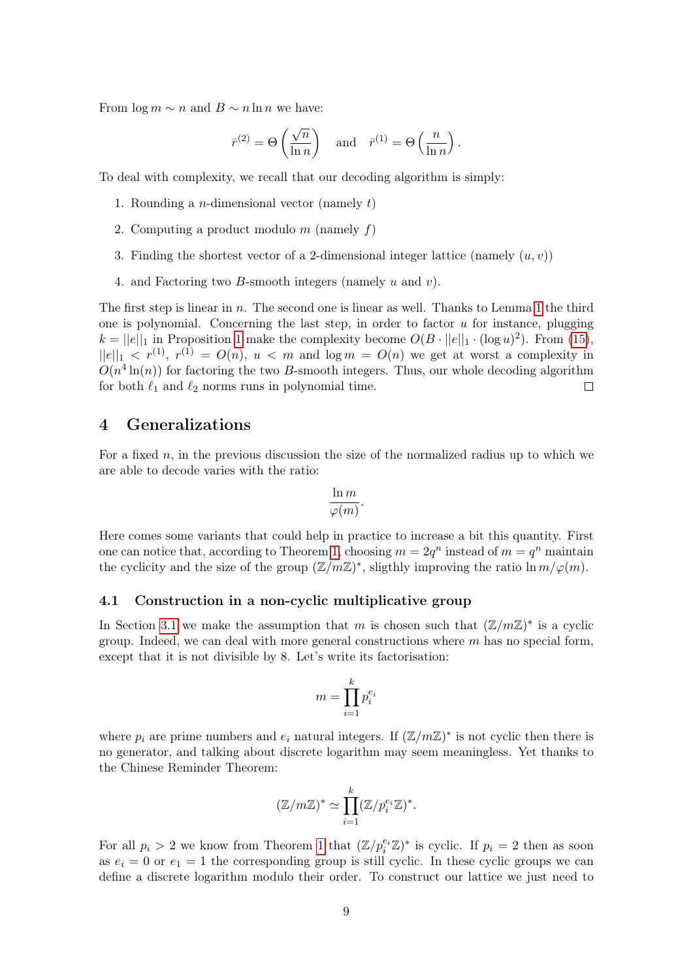From  $\log m \sim n$  and  $B \sim n \ln n$  we have:

$$
\bar{r}^{(2)} = \Theta\left(\frac{\sqrt{n}}{\ln n}\right)
$$
 and  $\bar{r}^{(1)} = \Theta\left(\frac{n}{\ln n}\right)$ .

To deal with complexity, we recall that our decoding algorithm is simply:

- 1. Rounding a *n*-dimensional vector (namely  $t$ )
- 2. Computing a product modulo  $m$  (namely  $f$ )
- 3. Finding the shortest vector of a 2-dimensional integer lattice (namely  $(u, v)$ )
- 4. and Factoring two B-smooth integers (namely u and v).

The first step is linear in n. The second one is linear as well. Thanks to Lemma [1](#page-6-3) the third one is polynomial. Concerning the last step, in order to factor  $u$  for instance, plugging  $k = ||e||_1$  in Proposition [1](#page-3-3) make the complexity become  $O(B \cdot ||e||_1 \cdot (\log u)^2)$ . From [\(15\)](#page-7-3),  $||e||_1 < r^{(1)}, r^{(1)} = O(n), u < m$  and  $\log m = O(n)$  we get at worst a complexity in  $O(n^4 \ln(n))$  for factoring the two B-smooth integers. Thus, our whole decoding algorithm for both  $\ell_1$  and  $\ell_2$  norms runs in polynomial time.  $\Box$ 

# <span id="page-8-0"></span>4 Generalizations

For a fixed  $n$ , in the previous discussion the size of the normalized radius up to which we are able to decode varies with the ratio:

$$
\frac{\ln m}{\varphi(m)}.
$$

Here comes some variants that could help in practice to increase a bit this quantity. First one can notice that, according to Theorem [1,](#page-7-2) choosing  $m = 2q^n$  instead of  $m = q^n$  maintain the cyclicity and the size of the group  $(\mathbb{Z}/m\mathbb{Z})^*$ , sligthly improving the ratio  $\ln m/\varphi(m)$ .

# 4.1 Construction in a non-cyclic multiplicative group

In Section [3.1](#page-4-0) we make the assumption that m is chosen such that  $(\mathbb{Z}/m\mathbb{Z})^*$  is a cyclic group. Indeed, we can deal with more general constructions where  $m$  has no special form, except that it is not divisible by 8. Let's write its factorisation:

$$
m = \prod_{i=1}^k p_i^{e_i}
$$

where  $p_i$  are prime numbers and  $e_i$  natural integers. If  $(\mathbb{Z}/m\mathbb{Z})^*$  is not cyclic then there is no generator, and talking about discrete logarithm may seem meaningless. Yet thanks to the Chinese Reminder Theorem:

$$
(\mathbb{Z}/m\mathbb{Z})^* \simeq \prod_{i=1}^k (\mathbb{Z}/p_i^{e_i}\mathbb{Z})^*.
$$

For all  $p_i > 2$  we know from Theorem [1](#page-7-2) that  $(\mathbb{Z}/p_i^{e_i}\mathbb{Z})^*$  is cyclic. If  $p_i = 2$  then as soon as  $e_i = 0$  or  $e_1 = 1$  the corresponding group is still cyclic. In these cyclic groups we can define a discrete logarithm modulo their order. To construct our lattice we just need to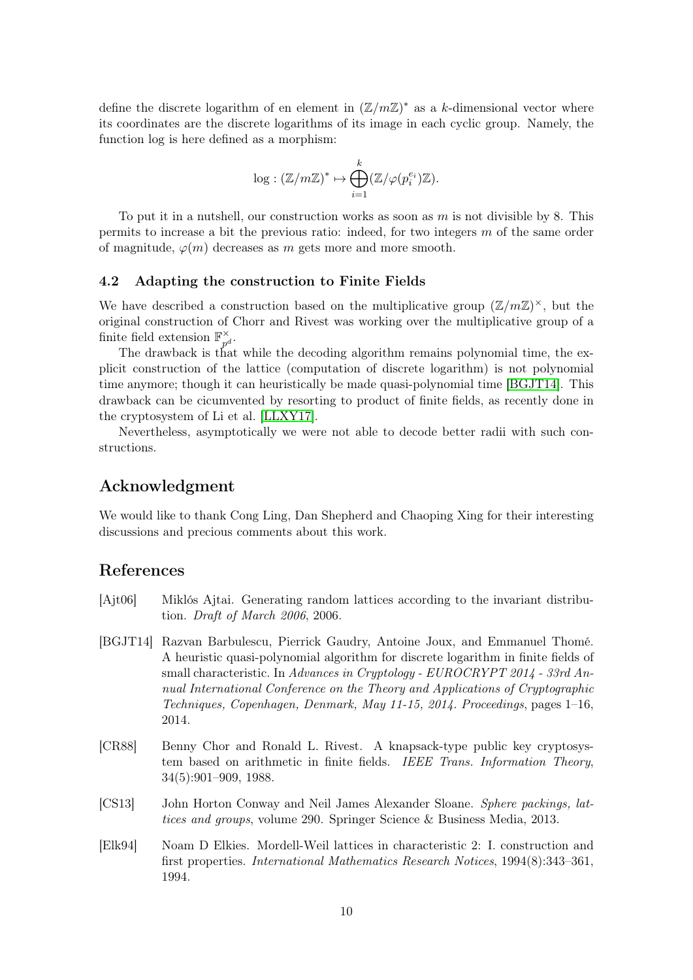define the discrete logarithm of en element in  $(\mathbb{Z}/m\mathbb{Z})^*$  as a k-dimensional vector where its coordinates are the discrete logarithms of its image in each cyclic group. Namely, the function log is here defined as a morphism:

$$
\log: (\mathbb{Z}/m\mathbb{Z})^* \mapsto \bigoplus_{i=1}^k (\mathbb{Z}/\varphi(p_i^{e_i})\mathbb{Z}).
$$

To put it in a nutshell, our construction works as soon as  $m$  is not divisible by 8. This permits to increase a bit the previous ratio: indeed, for two integers  $m$  of the same order of magnitude,  $\varphi(m)$  decreases as m gets more and more smooth.

### 4.2 Adapting the construction to Finite Fields

We have described a construction based on the multiplicative group  $(\mathbb{Z}/m\mathbb{Z})^{\times}$ , but the original construction of Chorr and Rivest was working over the multiplicative group of a finite field extension  $\mathbb{F}_{n^d}^{\times}$ .

The drawback is that while the decoding algorithm remains polynomial time, the explicit construction of the lattice (computation of discrete logarithm) is not polynomial time anymore; though it can heuristically be made quasi-polynomial time [\[BGJT14\]](#page-9-4). This drawback can be cicumvented by resorting to product of finite fields, as recently done in the cryptosystem of Li et al. [\[LLXY17\]](#page-10-12).

Nevertheless, asymptotically we were not able to decode better radii with such constructions.

# Acknowledgment

We would like to thank Cong Ling, Dan Shepherd and Chaoping Xing for their interesting discussions and precious comments about this work.

# References

- <span id="page-9-0"></span>[Ajt06] Miklós Ajtai. Generating random lattices according to the invariant distribution. Draft of March 2006, 2006.
- <span id="page-9-4"></span>[BGJT14] Razvan Barbulescu, Pierrick Gaudry, Antoine Joux, and Emmanuel Thomé. A heuristic quasi-polynomial algorithm for discrete logarithm in finite fields of small characteristic. In Advances in Cryptology - EUROCRYPT 2014 - 33rd Annual International Conference on the Theory and Applications of Cryptographic Techniques, Copenhagen, Denmark, May 11-15, 2014. Proceedings, pages 1–16, 2014.
- <span id="page-9-3"></span>[CR88] Benny Chor and Ronald L. Rivest. A knapsack-type public key cryptosystem based on arithmetic in finite fields. IEEE Trans. Information Theory, 34(5):901–909, 1988.
- <span id="page-9-2"></span>[CS13] John Horton Conway and Neil James Alexander Sloane. Sphere packings, lattices and groups, volume 290. Springer Science & Business Media, 2013.
- <span id="page-9-1"></span>[Elk94] Noam D Elkies. Mordell-Weil lattices in characteristic 2: I. construction and first properties. International Mathematics Research Notices, 1994(8):343–361, 1994.